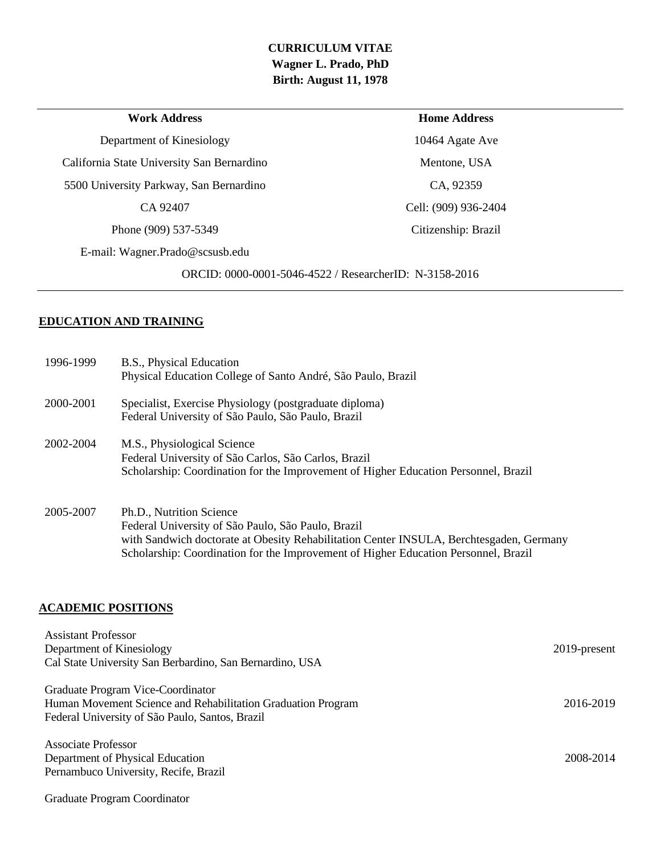# **CURRICULUM VITAE Wagner L. Prado, PhD Birth: August 11, 1978**

| <b>Work Address</b>                        | <b>Home Address</b>                                    |
|--------------------------------------------|--------------------------------------------------------|
| Department of Kinesiology                  | 10464 Agate Ave                                        |
| California State University San Bernardino | Mentone, USA                                           |
| 5500 University Parkway, San Bernardino    | CA, 92359                                              |
| CA 92407                                   | Cell: (909) 936-2404                                   |
| Phone (909) 537-5349                       | Citizenship: Brazil                                    |
| E-mail: Wagner.Prado@scsusb.edu            |                                                        |
|                                            | ORCID: 0000-0001-5046-4522 / ResearcherID: N-3158-2016 |
|                                            |                                                        |

# **EDUCATION AND TRAINING**

| 1996-1999 | B.S., Physical Education<br>Physical Education College of Santo André, São Paulo, Brazil                                                                                                                                                                         |
|-----------|------------------------------------------------------------------------------------------------------------------------------------------------------------------------------------------------------------------------------------------------------------------|
| 2000-2001 | Specialist, Exercise Physiology (postgraduate diploma)<br>Federal University of São Paulo, São Paulo, Brazil                                                                                                                                                     |
| 2002-2004 | M.S., Physiological Science<br>Federal University of São Carlos, São Carlos, Brazil<br>Scholarship: Coordination for the Improvement of Higher Education Personnel, Brazil                                                                                       |
| 2005-2007 | Ph.D., Nutrition Science<br>Federal University of São Paulo, São Paulo, Brazil<br>with Sandwich doctorate at Obesity Rehabilitation Center INSULA, Berchtesgaden, Germany<br>Scholarship: Coordination for the Improvement of Higher Education Personnel, Brazil |

## **ACADEMIC POSITIONS**

| <b>Assistant Professor</b><br>Department of Kinesiology<br>Cal State University San Berbardino, San Bernardino, USA                                  | $2019$ -present |
|------------------------------------------------------------------------------------------------------------------------------------------------------|-----------------|
| Graduate Program Vice-Coordinator<br>Human Movement Science and Rehabilitation Graduation Program<br>Federal University of São Paulo, Santos, Brazil | 2016-2019       |
| Associate Professor<br>Department of Physical Education<br>Pernambuco University, Recife, Brazil                                                     | 2008-2014       |
| Graduate Program Coordinator                                                                                                                         |                 |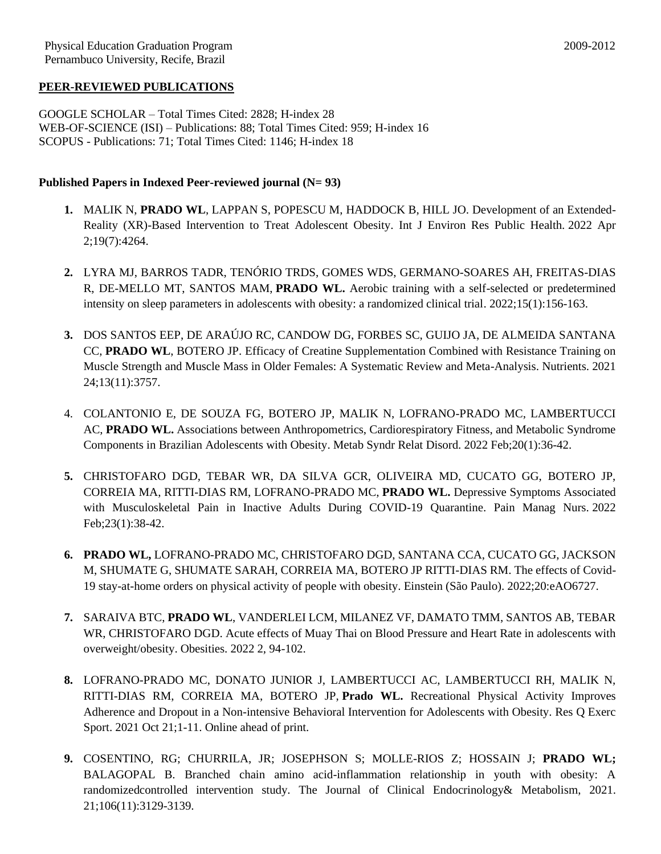#### **PEER-REVIEWED PUBLICATIONS**

GOOGLE SCHOLAR – Total Times Cited: 2828; H-index 28 WEB-OF-SCIENCE (ISI) – Publications: 88; Total Times Cited: 959; H-index 16 SCOPUS - Publications: 71; Total Times Cited: 1146; H-index 18

#### **Published Papers in Indexed Peer-reviewed journal (N= 93)**

- **1.** MALIK N, **PRADO WL**, LAPPAN S, POPESCU M, HADDOCK B, HILL JO. Development of an Extended-Reality (XR)-Based Intervention to Treat Adolescent Obesity. Int J Environ Res Public Health. 2022 Apr 2;19(7):4264.
- **2.** LYRA MJ, BARROS TADR, TENÓRIO TRDS, GOMES WDS, GERMANO-SOARES AH, FREITAS-DIAS R, DE-MELLO MT, SANTOS MAM, **PRADO WL.** Aerobic training with a self-selected or predetermined intensity on sleep parameters in adolescents with obesity: a randomized clinical trial. 2022;15(1):156-163.
- **3.** DOS SANTOS EEP, DE ARAÚJO RC, CANDOW DG, FORBES SC, GUIJO JA, DE ALMEIDA SANTANA CC, **PRADO WL**, BOTERO JP. Efficacy of Creatine Supplementation Combined with Resistance Training on Muscle Strength and Muscle Mass in Older Females: A Systematic Review and Meta-Analysis. Nutrients. 2021 24;13(11):3757.
- 4. COLANTONIO E, DE SOUZA FG, BOTERO JP, MALIK N, LOFRANO-PRADO MC, LAMBERTUCCI AC, **PRADO WL.** Associations between Anthropometrics, Cardiorespiratory Fitness, and Metabolic Syndrome Components in Brazilian Adolescents with Obesity. Metab Syndr Relat Disord. 2022 Feb;20(1):36-42.
- **5.** CHRISTOFARO DGD, TEBAR WR, DA SILVA GCR, OLIVEIRA MD, CUCATO GG, BOTERO JP, CORREIA MA, RITTI-DIAS RM, LOFRANO-PRADO MC, **PRADO WL.** Depressive Symptoms Associated with Musculoskeletal Pain in Inactive Adults During COVID-19 Quarantine. Pain Manag Nurs. 2022 Feb;23(1):38-42.
- **6. PRADO WL,** LOFRANO-PRADO MC, CHRISTOFARO DGD, SANTANA CCA, CUCATO GG, JACKSON M, SHUMATE G, SHUMATE SARAH, CORREIA MA, BOTERO JP RITTI-DIAS RM. The effects of Covid-19 stay-at-home orders on physical activity of people with obesity. Einstein (São Paulo). 2022;20:eAO6727.
- **7.** SARAIVA BTC, **PRADO WL**, VANDERLEI LCM, MILANEZ VF, DAMATO TMM, SANTOS AB, TEBAR WR, CHRISTOFARO DGD. Acute effects of Muay Thai on Blood Pressure and Heart Rate in adolescents with overweight/obesity. Obesities. 2022 2, 94-102.
- **8.** LOFRANO-PRADO MC, DONATO JUNIOR J, LAMBERTUCCI AC, LAMBERTUCCI RH, MALIK N, RITTI-DIAS RM, CORREIA MA, BOTERO JP, **Prado WL.** Recreational Physical Activity Improves Adherence and Dropout in a Non-intensive Behavioral Intervention for Adolescents with Obesity. Res Q Exerc Sport. 2021 Oct 21;1-11. Online ahead of print.
- **9.** COSENTINO, RG; CHURRILA, JR; JOSEPHSON S; MOLLE-RIOS Z; HOSSAIN J; **PRADO WL;** BALAGOPAL B. Branched chain amino acid-inflammation relationship in youth with obesity: A randomizedcontrolled intervention study. The Journal of Clinical Endocrinology& Metabolism, 2021. 21;106(11):3129-3139.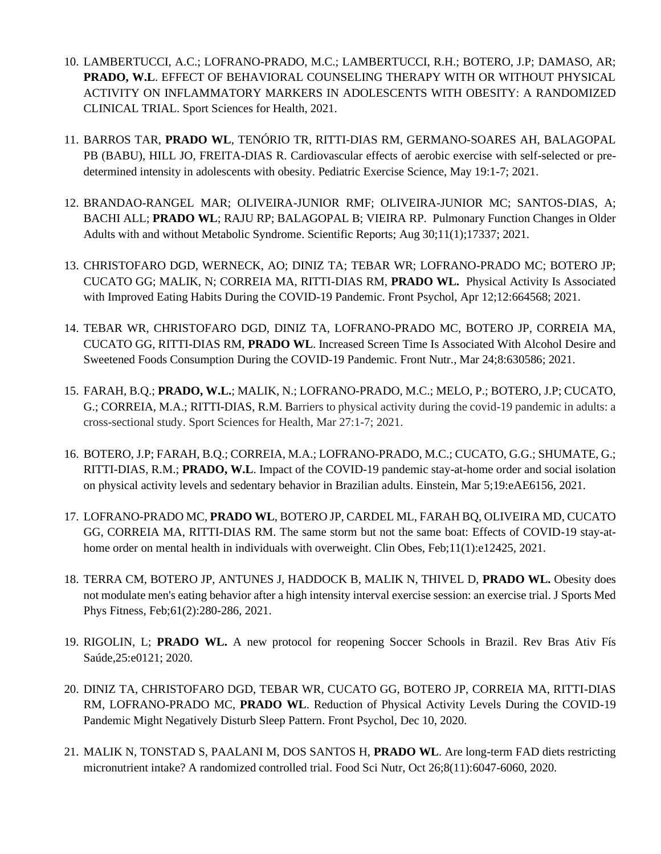- 10. LAMBERTUCCI, A.C.; LOFRANO-PRADO, M.C.; LAMBERTUCCI, R.H.; BOTERO, J.P; DAMASO, AR; **PRADO, W.L**. EFFECT OF BEHAVIORAL COUNSELING THERAPY WITH OR WITHOUT PHYSICAL ACTIVITY ON INFLAMMATORY MARKERS IN ADOLESCENTS WITH OBESITY: A RANDOMIZED CLINICAL TRIAL. Sport Sciences for Health, 2021.
- 11. BARROS TAR, **PRADO WL**, TENÓRIO TR, RITTI-DIAS RM, GERMANO-SOARES AH, BALAGOPAL PB (BABU), HILL JO, FREITA-DIAS R. Cardiovascular effects of aerobic exercise with self-selected or predetermined intensity in adolescents with obesity. Pediatric Exercise Science, May 19:1-7; 2021.
- 12. BRANDAO-RANGEL MAR; OLIVEIRA-JUNIOR RMF; OLIVEIRA-JUNIOR MC; SANTOS-DIAS, A; BACHI ALL; **PRADO WL**; RAJU RP; BALAGOPAL B; VIEIRA RP.Pulmonary Function Changes in Older Adults with and without Metabolic Syndrome. Scientific Reports; Aug 30;11(1);17337; 2021.
- 13. CHRISTOFARO DGD, WERNECK, AO; DINIZ TA; TEBAR WR; LOFRANO-PRADO MC; BOTERO JP; CUCATO GG; MALIK, N; CORREIA MA, RITTI-DIAS RM, **PRADO WL.** Physical Activity Is Associated with Improved Eating Habits During the COVID-19 Pandemic. Front Psychol, Apr 12;12:664568; 2021.
- 14. TEBAR WR, CHRISTOFARO DGD, DINIZ TA, LOFRANO-PRADO MC, BOTERO JP, CORREIA MA, CUCATO GG, RITTI-DIAS RM, **PRADO WL**. Increased Screen Time Is Associated With Alcohol Desire and Sweetened Foods Consumption During the COVID-19 Pandemic. Front Nutr., Mar 24;8:630586; 2021.
- 15. FARAH, B.Q.; **PRADO, W.L.**; MALIK, N.; LOFRANO-PRADO, M.C.; MELO, P.; BOTERO, J.P; CUCATO, G.; CORREIA, M.A.; RITTI-DIAS, R.M. Barriers to physical activity during the covid-19 pandemic in adults: a cross-sectional study. Sport Sciences for Health, Mar 27:1-7; 2021.
- 16. BOTERO, J.P; FARAH, B.Q.; CORREIA, M.A.; LOFRANO-PRADO, M.C.; CUCATO, G.G.; SHUMATE, G.; RITTI-DIAS, R.M.; **PRADO, W.L**. Impact of the COVID-19 pandemic stay-at-home order and social isolation on physical activity levels and sedentary behavior in Brazilian adults. Einstein, Mar 5;19:eAE6156, 2021.
- 17. LOFRANO-PRADO MC, **PRADO WL**, BOTERO JP, CARDEL ML, FARAH BQ, OLIVEIRA MD, CUCATO GG, CORREIA MA, RITTI-DIAS RM. The same storm but not the same boat: Effects of COVID-19 stay-athome order on mental health in individuals with overweight. Clin Obes, Feb;11(1):e12425, 2021.
- 18. TERRA CM, BOTERO JP, ANTUNES J, HADDOCK B, MALIK N, THIVEL D, **PRADO WL.** Obesity does not modulate men's eating behavior after a high intensity interval exercise session: an exercise trial. J Sports Med Phys Fitness, Feb;61(2):280-286, 2021.
- 19. RIGOLIN, L; **PRADO WL.** A new protocol for reopening Soccer Schools in Brazil. Rev Bras Ativ Fís Saúde,25:e0121; 2020.
- 20. DINIZ TA, CHRISTOFARO DGD, TEBAR WR, CUCATO GG, BOTERO JP, CORREIA MA, RITTI-DIAS RM, LOFRANO-PRADO MC, **PRADO WL**. Reduction of Physical Activity Levels During the COVID-19 Pandemic Might Negatively Disturb Sleep Pattern. Front Psychol, Dec 10, 2020.
- 21. MALIK N, TONSTAD S, PAALANI M, DOS SANTOS H, **PRADO WL**. Are long-term FAD diets restricting micronutrient intake? A randomized controlled trial. Food Sci Nutr, Oct 26;8(11):6047-6060, 2020.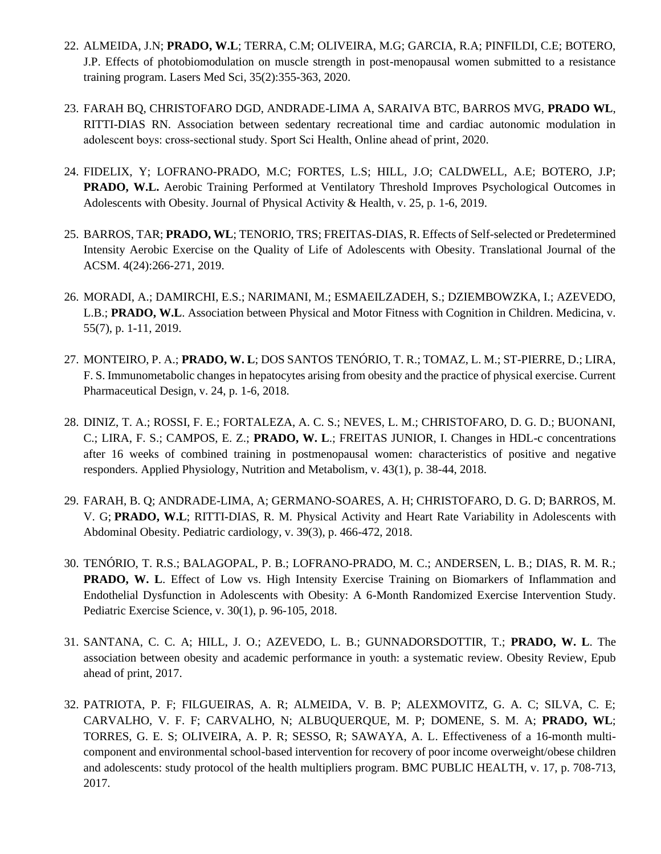- 22. ALMEIDA, J.N; **PRADO, W.L**; TERRA, C.M; OLIVEIRA, M.G; GARCIA, R.A; PINFILDI, C.E; BOTERO, J.P. Effects of photobiomodulation on muscle strength in post-menopausal women submitted to a resistance training program. Lasers Med Sci, 35(2):355-363, 2020.
- 23. FARAH BQ, CHRISTOFARO DGD, ANDRADE-LIMA A, SARAIVA BTC, BARROS MVG, **PRADO WL**, RITTI-DIAS RN. Association between sedentary recreational time and cardiac autonomic modulation in adolescent boys: cross‑sectional study. Sport Sci Health, Online ahead of print, 2020.
- 24. FIDELIX, Y; LOFRANO-PRADO, M.C; FORTES, L.S; HILL, J.O; CALDWELL, A.E; BOTERO, J.P; **PRADO, W.L.** Aerobic Training Performed at Ventilatory Threshold Improves Psychological Outcomes in Adolescents with Obesity. Journal of Physical Activity & Health, v. 25, p. 1-6, 2019.
- 25. BARROS, TAR; **PRADO, WL**; TENORIO, TRS; FREITAS-DIAS, R. Effects of Self-selected or Predetermined Intensity Aerobic Exercise on the Quality of Life of Adolescents with Obesity. Translational Journal of the ACSM. 4(24):266-271, 2019.
- 26. MORADI, A.; DAMIRCHI, E.S.; NARIMANI, M.; ESMAEILZADEH, S.; DZIEMBOWZKA, I.; AZEVEDO, L.B.; **PRADO, W.L**. Association between Physical and Motor Fitness with Cognition in Children. Medicina, v. 55(7), p. 1-11, 2019.
- 27. MONTEIRO, P. A.; **PRADO, W. L**; DOS SANTOS TENÓRIO, T. R.; TOMAZ, L. M.; ST-PIERRE, D.; LIRA, F. S. Immunometabolic changes in hepatocytes arising from obesity and the practice of physical exercise. Current Pharmaceutical Design, v. 24, p. 1-6, 2018.
- 28. DINIZ, T. A.; ROSSI, F. E.; FORTALEZA, A. C. S.; NEVES, L. M.; CHRISTOFARO, D. G. D.; BUONANI, C.; LIRA, F. S.; CAMPOS, E. Z.; **PRADO, W. L**.; FREITAS JUNIOR, I. Changes in HDL-c concentrations after 16 weeks of combined training in postmenopausal women: characteristics of positive and negative responders. Applied Physiology, Nutrition and Metabolism, v. 43(1), p. 38-44, 2018.
- 29. FARAH, B. Q; ANDRADE-LIMA, A; GERMANO-SOARES, A. H; CHRISTOFARO, D. G. D; BARROS, M. V. G; **PRADO, W.L**; RITTI-DIAS, R. M. Physical Activity and Heart Rate Variability in Adolescents with Abdominal Obesity. Pediatric cardiology, v. 39(3), p. 466-472, 2018.
- 30. TENÓRIO, T. R.S.; BALAGOPAL, P. B.; LOFRANO-PRADO, M. C.; ANDERSEN, L. B.; DIAS, R. M. R.; **PRADO, W. L**. Effect of Low vs. High Intensity Exercise Training on Biomarkers of Inflammation and Endothelial Dysfunction in Adolescents with Obesity: A 6-Month Randomized Exercise Intervention Study. Pediatric Exercise Science, v. 30(1), p. 96-105, 2018.
- 31. SANTANA, C. C. A; HILL, J. O.; AZEVEDO, L. B.; GUNNADORSDOTTIR, T.; **PRADO, W. L**. The association between obesity and academic performance in youth: a systematic review. Obesity Review, Epub ahead of print, 2017.
- 32. PATRIOTA, P. F; FILGUEIRAS, A. R; ALMEIDA, V. B. P; ALEXMOVITZ, G. A. C; SILVA, C. E; CARVALHO, V. F. F; CARVALHO, N; ALBUQUERQUE, M. P; DOMENE, S. M. A; **PRADO, WL**; TORRES, G. E. S; OLIVEIRA, A. P. R; SESSO, R; SAWAYA, A. L. Effectiveness of a 16-month multicomponent and environmental school-based intervention for recovery of poor income overweight/obese children and adolescents: study protocol of the health multipliers program. BMC PUBLIC HEALTH, v. 17, p. 708-713, 2017.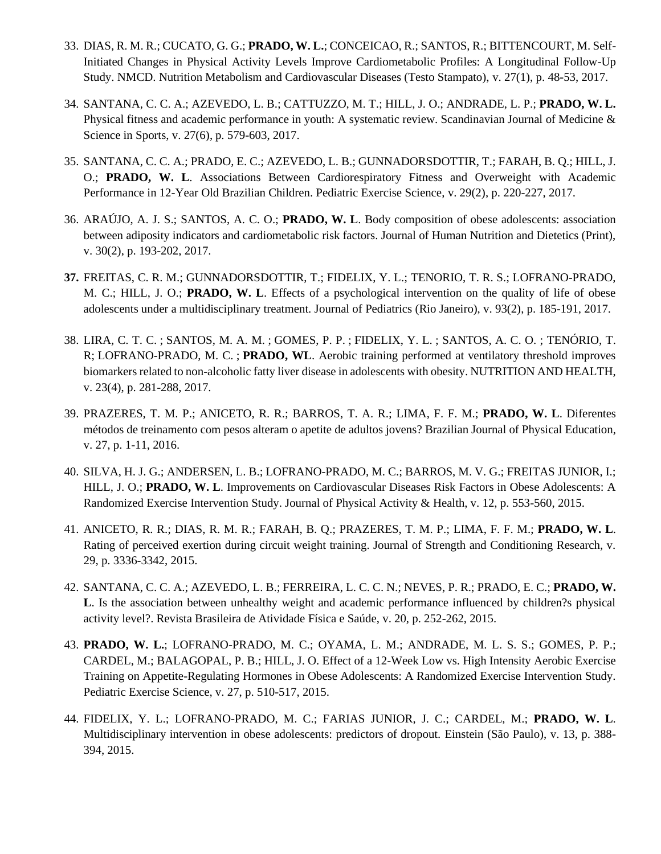- 33. DIAS, R. M. R.; CUCATO, G. G.; **PRADO, W. L.**; CONCEICAO, R.; SANTOS, R.; BITTENCOURT, M. Self-Initiated Changes in Physical Activity Levels Improve Cardiometabolic Profiles: A Longitudinal Follow-Up Study. NMCD. Nutrition Metabolism and Cardiovascular Diseases (Testo Stampato), v. 27(1), p. 48-53, 2017.
- 34. SANTANA, C. C. A.; AZEVEDO, L. B.; CATTUZZO, M. T.; HILL, J. O.; ANDRADE, L. P.; **PRADO, W. L.** Physical fitness and academic performance in youth: A systematic review. Scandinavian Journal of Medicine & Science in Sports, v. 27(6), p. 579-603, 2017.
- 35. SANTANA, C. C. A.; PRADO, E. C.; AZEVEDO, L. B.; GUNNADORSDOTTIR, T.; FARAH, B. Q.; HILL, J. O.; **PRADO, W. L**. Associations Between Cardiorespiratory Fitness and Overweight with Academic Performance in 12-Year Old Brazilian Children. Pediatric Exercise Science, v. 29(2), p. 220-227, 2017.
- 36. ARAÚJO, A. J. S.; SANTOS, A. C. O.; **PRADO, W. L**. Body composition of obese adolescents: association between adiposity indicators and cardiometabolic risk factors. Journal of Human Nutrition and Dietetics (Print), v. 30(2), p. 193-202, 2017.
- **37.** FREITAS, C. R. M.; GUNNADORSDOTTIR, T.; FIDELIX, Y. L.; TENORIO, T. R. S.; LOFRANO-PRADO, M. C.; HILL, J. O.; **PRADO, W. L**. Effects of a psychological intervention on the quality of life of obese adolescents under a multidisciplinary treatment. Journal of Pediatrics (Rio Janeiro), v. 93(2), p. 185-191, 2017.
- 38. [LIRA, C. T. C.](http://lattes.cnpq.br/8961376558580331) ; [SANTOS, M. A. M.](http://lattes.cnpq.br/1255644458061968) ; [GOMES, P. P.](http://lattes.cnpq.br/6487494061469581) ; [FIDELIX, Y. L.](http://lattes.cnpq.br/4812360526846960) ; SANTOS, A. C. O. ; TENÓRIO, T. R; [LOFRANO-PRADO, M. C.](http://lattes.cnpq.br/2838838432765285) ; **PRADO, WL**. Aerobic training performed at ventilatory threshold improves biomarkers related to non-alcoholic fatty liver disease in adolescents with obesity. NUTRITION AND HEALTH, v. 23(4), p. 281-288, 2017.
- 39. PRAZERES, T. M. P.; ANICETO, R. R.; BARROS, T. A. R.; LIMA, F. F. M.; **PRADO, W. L**. Diferentes métodos de treinamento com pesos alteram o apetite de adultos jovens? Brazilian Journal of Physical Education, v. 27, p. 1-11, 2016.
- 40. SILVA, H. J. G.; ANDERSEN, L. B.; LOFRANO-PRADO, M. C.; BARROS, M. V. G.; FREITAS JUNIOR, I.; HILL, J. O.; **PRADO, W. L**. Improvements on Cardiovascular Diseases Risk Factors in Obese Adolescents: A Randomized Exercise Intervention Study. Journal of Physical Activity & Health, v. 12, p. 553-560, 2015.
- 41. ANICETO, R. R.; DIAS, R. M. R.; FARAH, B. Q.; PRAZERES, T. M. P.; LIMA, F. F. M.; **PRADO, W. L**. Rating of perceived exertion during circuit weight training. Journal of Strength and Conditioning Research, v. 29, p. 3336-3342, 2015.
- 42. SANTANA, C. C. A.; AZEVEDO, L. B.; FERREIRA, L. C. C. N.; NEVES, P. R.; PRADO, E. C.; **PRADO, W. L**. Is the association between unhealthy weight and academic performance influenced by children?s physical activity level?. Revista Brasileira de Atividade Física e Saúde, v. 20, p. 252-262, 2015.
- 43. **PRADO, W. L.**; LOFRANO-PRADO, M. C.; OYAMA, L. M.; ANDRADE, M. L. S. S.; GOMES, P. P.; CARDEL, M.; BALAGOPAL, P. B.; HILL, J. O. Effect of a 12-Week Low vs. High Intensity Aerobic Exercise Training on Appetite-Regulating Hormones in Obese Adolescents: A Randomized Exercise Intervention Study. Pediatric Exercise Science, v. 27, p. 510-517, 2015.
- 44. FIDELIX, Y. L.; LOFRANO-PRADO, M. C.; FARIAS JUNIOR, J. C.; CARDEL, M.; **PRADO, W. L**. Multidisciplinary intervention in obese adolescents: predictors of dropout. Einstein (São Paulo), v. 13, p. 388- 394, 2015.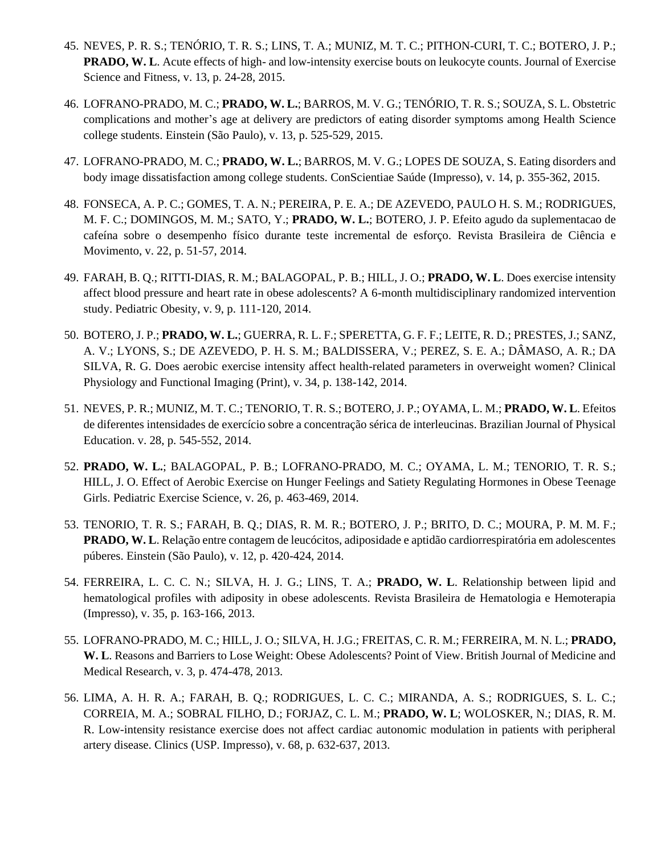- 45. NEVES, P. R. S.; TENÓRIO, T. R. S.; LINS, T. A.; MUNIZ, M. T. C.; PITHON-CURI, T. C.; BOTERO, J. P.; **PRADO, W. L.** Acute effects of high- and low-intensity exercise bouts on leukocyte counts. Journal of Exercise Science and Fitness, v. 13, p. 24-28, 2015.
- 46. LOFRANO-PRADO, M. C.; **PRADO, W. L.**; BARROS, M. V. G.; TENÓRIO, T. R. S.; SOUZA, S. L. Obstetric complications and mother's age at delivery are predictors of eating disorder symptoms among Health Science college students. Einstein (São Paulo), v. 13, p. 525-529, 2015.
- 47. LOFRANO-PRADO, M. C.; **PRADO, W. L.**; BARROS, M. V. G.; LOPES DE SOUZA, S. Eating disorders and body image dissatisfaction among college students. ConScientiae Saúde (Impresso), v. 14, p. 355-362, 2015.
- 48. FONSECA, A. P. C.; GOMES, T. A. N.; PEREIRA, P. E. A.; DE AZEVEDO, PAULO H. S. M.; RODRIGUES, M. F. C.; DOMINGOS, M. M.; SATO, Y.; **PRADO, W. L.**; BOTERO, J. P. Efeito agudo da suplementacao de cafeína sobre o desempenho físico durante teste incremental de esforço. Revista Brasileira de Ciência e Movimento, v. 22, p. 51-57, 2014.
- 49. FARAH, B. Q.; RITTI-DIAS, R. M.; BALAGOPAL, P. B.; HILL, J. O.; **PRADO, W. L**. Does exercise intensity affect blood pressure and heart rate in obese adolescents? A 6-month multidisciplinary randomized intervention study. Pediatric Obesity, v. 9, p. 111-120, 2014.
- 50. BOTERO, J. P.; **PRADO, W. L.**; GUERRA, R. L. F.; SPERETTA, G. F. F.; LEITE, R. D.; PRESTES, J.; SANZ, A. V.; LYONS, S.; DE AZEVEDO, P. H. S. M.; BALDISSERA, V.; PEREZ, S. E. A.; DÂMASO, A. R.; DA SILVA, R. G. Does aerobic exercise intensity affect health-related parameters in overweight women? Clinical Physiology and Functional Imaging (Print), v. 34, p. 138-142, 2014.
- 51. NEVES, P. R.; MUNIZ, M. T. C.; TENORIO, T. R. S.; BOTERO, J. P.; OYAMA, L. M.; **PRADO, W. L**. Efeitos de diferentes intensidades de exercício sobre a concentração sérica de interleucinas. Brazilian Journal of Physical Education. v. 28, p. 545-552, 2014.
- 52. **PRADO, W. L.**; BALAGOPAL, P. B.; LOFRANO-PRADO, M. C.; OYAMA, L. M.; TENORIO, T. R. S.; HILL, J. O. Effect of Aerobic Exercise on Hunger Feelings and Satiety Regulating Hormones in Obese Teenage Girls. Pediatric Exercise Science, v. 26, p. 463-469, 2014.
- 53. TENORIO, T. R. S.; FARAH, B. Q.; DIAS, R. M. R.; BOTERO, J. P.; BRITO, D. C.; MOURA, P. M. M. F.; **PRADO, W. L**. Relação entre contagem de leucócitos, adiposidade e aptidão cardiorrespiratória em adolescentes púberes. Einstein (São Paulo), v. 12, p. 420-424, 2014.
- 54. FERREIRA, L. C. C. N.; SILVA, H. J. G.; LINS, T. A.; **PRADO, W. L**. Relationship between lipid and hematological profiles with adiposity in obese adolescents. Revista Brasileira de Hematologia e Hemoterapia (Impresso), v. 35, p. 163-166, 2013.
- 55. LOFRANO-PRADO, M. C.; HILL, J. O.; SILVA, H. J.G.; FREITAS, C. R. M.; FERREIRA, M. N. L.; **PRADO, W. L**. Reasons and Barriers to Lose Weight: Obese Adolescents? Point of View. British Journal of Medicine and Medical Research, v. 3, p. 474-478, 2013.
- 56. LIMA, A. H. R. A.; FARAH, B. Q.; RODRIGUES, L. C. C.; MIRANDA, A. S.; RODRIGUES, S. L. C.; CORREIA, M. A.; SOBRAL FILHO, D.; FORJAZ, C. L. M.; **PRADO, W. L**; WOLOSKER, N.; DIAS, R. M. R. Low-intensity resistance exercise does not affect cardiac autonomic modulation in patients with peripheral artery disease. Clinics (USP. Impresso), v. 68, p. 632-637, 2013.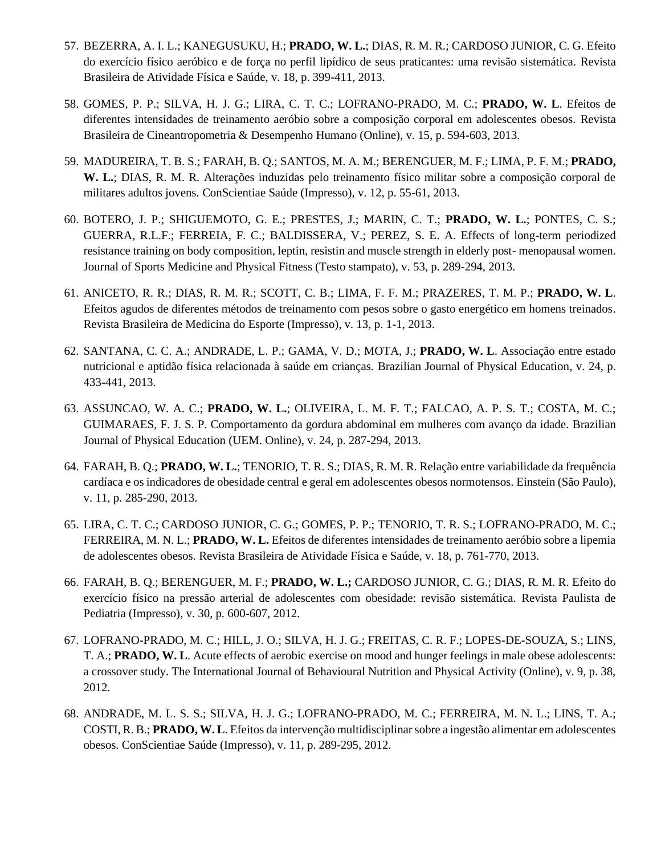- 57. BEZERRA, A. I. L.; KANEGUSUKU, H.; **PRADO, W. L.**; DIAS, R. M. R.; CARDOSO JUNIOR, C. G. Efeito do exercício físico aeróbico e de força no perfil lipídico de seus praticantes: uma revisão sistemática. Revista Brasileira de Atividade Física e Saúde, v. 18, p. 399-411, 2013.
- 58. GOMES, P. P.; SILVA, H. J. G.; LIRA, C. T. C.; LOFRANO-PRADO, M. C.; **PRADO, W. L**. Efeitos de diferentes intensidades de treinamento aeróbio sobre a composição corporal em adolescentes obesos. Revista Brasileira de Cineantropometria & Desempenho Humano (Online), v. 15, p. 594-603, 2013.
- 59. MADUREIRA, T. B. S.; FARAH, B. Q.; SANTOS, M. A. M.; BERENGUER, M. F.; LIMA, P. F. M.; **PRADO, W. L.**; DIAS, R. M. R. Alterações induzidas pelo treinamento físico militar sobre a composição corporal de militares adultos jovens. ConScientiae Saúde (Impresso), v. 12, p. 55-61, 2013.
- 60. BOTERO, J. P.; SHIGUEMOTO, G. E.; PRESTES, J.; MARIN, C. T.; **PRADO, W. L.**; PONTES, C. S.; GUERRA, R.L.F.; FERREIA, F. C.; BALDISSERA, V.; PEREZ, S. E. A. Effects of long-term periodized resistance training on body composition, leptin, resistin and muscle strength in elderly post- menopausal women. Journal of Sports Medicine and Physical Fitness (Testo stampato), v. 53, p. 289-294, 2013.
- 61. ANICETO, R. R.; DIAS, R. M. R.; SCOTT, C. B.; LIMA, F. F. M.; PRAZERES, T. M. P.; **PRADO, W. L**. Efeitos agudos de diferentes métodos de treinamento com pesos sobre o gasto energético em homens treinados. Revista Brasileira de Medicina do Esporte (Impresso), v. 13, p. 1-1, 2013.
- 62. SANTANA, C. C. A.; ANDRADE, L. P.; GAMA, V. D.; MOTA, J.; **PRADO, W. L**. Associação entre estado nutricional e aptidão física relacionada à saúde em crianças. Brazilian Journal of Physical Education, v. 24, p. 433-441, 2013.
- 63. ASSUNCAO, W. A. C.; **PRADO, W. L.**; OLIVEIRA, L. M. F. T.; FALCAO, A. P. S. T.; COSTA, M. C.; GUIMARAES, F. J. S. P. Comportamento da gordura abdominal em mulheres com avanço da idade. Brazilian Journal of Physical Education (UEM. Online), v. 24, p. 287-294, 2013.
- 64. FARAH, B. Q.; **PRADO, W. L.**; TENORIO, T. R. S.; DIAS, R. M. R. Relação entre variabilidade da frequência cardíaca e os indicadores de obesidade central e geral em adolescentes obesos normotensos. Einstein (São Paulo), v. 11, p. 285-290, 2013.
- 65. LIRA, C. T. C.; CARDOSO JUNIOR, C. G.; GOMES, P. P.; TENORIO, T. R. S.; LOFRANO-PRADO, M. C.; FERREIRA, M. N. L.; **PRADO, W. L.** Efeitos de diferentes intensidades de treinamento aeróbio sobre a lipemia de adolescentes obesos. Revista Brasileira de Atividade Física e Saúde, v. 18, p. 761-770, 2013.
- 66. FARAH, B. Q.; BERENGUER, M. F.; **PRADO, W. L.;** CARDOSO JUNIOR, C. G.; DIAS, R. M. R. Efeito do exercício físico na pressão arterial de adolescentes com obesidade: revisão sistemática. Revista Paulista de Pediatria (Impresso), v. 30, p. 600-607, 2012.
- 67. LOFRANO-PRADO, M. C.; HILL, J. O.; SILVA, H. J. G.; FREITAS, C. R. F.; LOPES-DE-SOUZA, S.; LINS, T. A.; **PRADO, W. L**. Acute effects of aerobic exercise on mood and hunger feelings in male obese adolescents: a crossover study. The International Journal of Behavioural Nutrition and Physical Activity (Online), v. 9, p. 38, 2012.
- 68. ANDRADE, M. L. S. S.; SILVA, H. J. G.; LOFRANO-PRADO, M. C.; FERREIRA, M. N. L.; LINS, T. A.; COSTI, R. B.; **PRADO, W. L**. Efeitos da intervenção multidisciplinar sobre a ingestão alimentar em adolescentes obesos. ConScientiae Saúde (Impresso), v. 11, p. 289-295, 2012.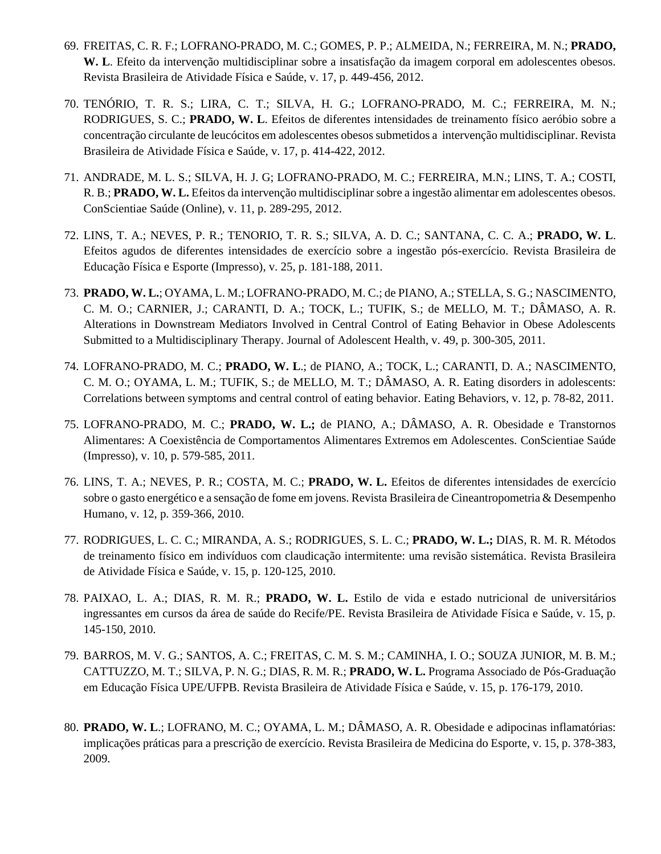- 69. FREITAS, C. R. F.; LOFRANO-PRADO, M. C.; GOMES, P. P.; ALMEIDA, N.; FERREIRA, M. N.; **PRADO, W. L**. Efeito da intervenção multidisciplinar sobre a insatisfação da imagem corporal em adolescentes obesos. Revista Brasileira de Atividade Física e Saúde, v. 17, p. 449-456, 2012.
- 70. TENÓRIO, T. R. S.; LIRA, C. T.; SILVA, H. G.; LOFRANO-PRADO, M. C.; FERREIRA, M. N.; RODRIGUES, S. C.; **PRADO, W. L**. Efeitos de diferentes intensidades de treinamento físico aeróbio sobre a concentração circulante de leucócitos em adolescentes obesos submetidos a intervenção multidisciplinar. Revista Brasileira de Atividade Física e Saúde, v. 17, p. 414-422, 2012.
- 71. ANDRADE, M. L. S.; SILVA, H. J. G; LOFRANO-PRADO, M. C.; FERREIRA, M.N.; LINS, T. A.; COSTI, R. B.; **PRADO, W. L.** Efeitos da intervenção multidisciplinar sobre a ingestão alimentar em adolescentes obesos. ConScientiae Saúde (Online), v. 11, p. 289-295, 2012.
- 72. LINS, T. A.; NEVES, P. R.; TENORIO, T. R. S.; SILVA, A. D. C.; SANTANA, C. C. A.; **PRADO, W. L**. Efeitos agudos de diferentes intensidades de exercício sobre a ingestão pós-exercício. Revista Brasileira de Educação Física e Esporte (Impresso), v. 25, p. 181-188, 2011.
- 73. **PRADO, W. L.**; OYAMA, L. M.; LOFRANO-PRADO, M. C.; de PIANO, A.; STELLA, S. G.; NASCIMENTO, C. M. O.; CARNIER, J.; CARANTI, D. A.; TOCK, L.; TUFIK, S.; de MELLO, M. T.; DÂMASO, A. R. Alterations in Downstream Mediators Involved in Central Control of Eating Behavior in Obese Adolescents Submitted to a Multidisciplinary Therapy. Journal of Adolescent Health, v. 49, p. 300-305, 2011.
- 74. LOFRANO-PRADO, M. C.; **PRADO, W. L**.; de PIANO, A.; TOCK, L.; CARANTI, D. A.; NASCIMENTO, C. M. O.; OYAMA, L. M.; TUFIK, S.; de MELLO, M. T.; DÂMASO, A. R. Eating disorders in adolescents: Correlations between symptoms and central control of eating behavior. Eating Behaviors, v. 12, p. 78-82, 2011.
- 75. LOFRANO-PRADO, M. C.; **PRADO, W. L.;** de PIANO, A.; DÂMASO, A. R. Obesidade e Transtornos Alimentares: A Coexistência de Comportamentos Alimentares Extremos em Adolescentes. ConScientiae Saúde (Impresso), v. 10, p. 579-585, 2011.
- 76. LINS, T. A.; NEVES, P. R.; COSTA, M. C.; **PRADO, W. L.** Efeitos de diferentes intensidades de exercício sobre o gasto energético e a sensação de fome em jovens. Revista Brasileira de Cineantropometria & Desempenho Humano, v. 12, p. 359-366, 2010.
- 77. RODRIGUES, L. C. C.; MIRANDA, A. S.; RODRIGUES, S. L. C.; **PRADO, W. L.;** DIAS, R. M. R. Métodos de treinamento físico em indivíduos com claudicação intermitente: uma revisão sistemática. Revista Brasileira de Atividade Física e Saúde, v. 15, p. 120-125, 2010.
- 78. PAIXAO, L. A.; DIAS, R. M. R.; **PRADO, W. L.** Estilo de vida e estado nutricional de universitários ingressantes em cursos da área de saúde do Recife/PE. Revista Brasileira de Atividade Física e Saúde, v. 15, p. 145-150, 2010.
- 79. BARROS, M. V. G.; SANTOS, A. C.; FREITAS, C. M. S. M.; CAMINHA, I. O.; SOUZA JUNIOR, M. B. M.; CATTUZZO, M. T.; SILVA, P. N. G.; DIAS, R. M. R.; **PRADO, W. L.** Programa Associado de Pós-Graduação em Educação Física UPE/UFPB. Revista Brasileira de Atividade Física e Saúde, v. 15, p. 176-179, 2010.
- 80. **PRADO, W. L**.; LOFRANO, M. C.; OYAMA, L. M.; DÂMASO, A. R. Obesidade e adipocinas inflamatórias: implicações práticas para a prescrição de exercício. Revista Brasileira de Medicina do Esporte, v. 15, p. 378-383, 2009.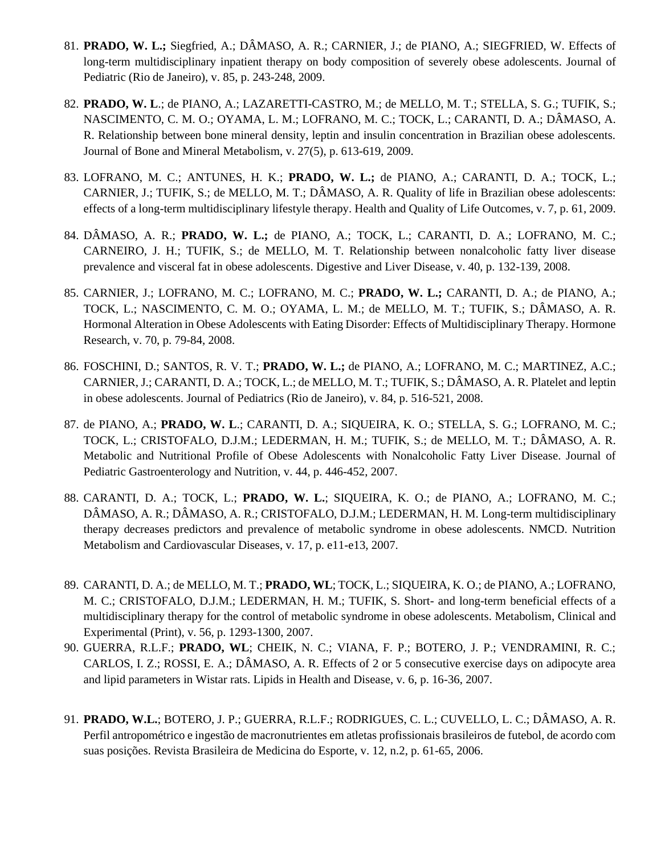- 81. **PRADO, W. L.;** Siegfried, A.; DÂMASO, A. R.; CARNIER, J.; de PIANO, A.; SIEGFRIED, W. Effects of long-term multidisciplinary inpatient therapy on body composition of severely obese adolescents. Journal of Pediatric (Rio de Janeiro), v. 85, p. 243-248, 2009.
- 82. **PRADO, W. L**.; de PIANO, A.; LAZARETTI-CASTRO, M.; de MELLO, M. T.; STELLA, S. G.; TUFIK, S.; NASCIMENTO, C. M. O.; OYAMA, L. M.; LOFRANO, M. C.; TOCK, L.; CARANTI, D. A.; DÂMASO, A. R. Relationship between bone mineral density, leptin and insulin concentration in Brazilian obese adolescents. Journal of Bone and Mineral Metabolism, v. 27(5), p. 613-619, 2009.
- 83. LOFRANO, M. C.; ANTUNES, H. K.; **PRADO, W. L.;** de PIANO, A.; CARANTI, D. A.; TOCK, L.; CARNIER, J.; TUFIK, S.; de MELLO, M. T.; DÂMASO, A. R. Quality of life in Brazilian obese adolescents: effects of a long-term multidisciplinary lifestyle therapy. Health and Quality of Life Outcomes, v. 7, p. 61, 2009.
- 84. DÂMASO, A. R.; **PRADO, W. L.;** de PIANO, A.; TOCK, L.; CARANTI, D. A.; LOFRANO, M. C.; CARNEIRO, J. H.; TUFIK, S.; de MELLO, M. T. Relationship between nonalcoholic fatty liver disease prevalence and visceral fat in obese adolescents. Digestive and Liver Disease, v. 40, p. 132-139, 2008.
- 85. CARNIER, J.; LOFRANO, M. C.; LOFRANO, M. C.; **PRADO, W. L.;** CARANTI, D. A.; de PIANO, A.; TOCK, L.; NASCIMENTO, C. M. O.; OYAMA, L. M.; de MELLO, M. T.; TUFIK, S.; DÂMASO, A. R. Hormonal Alteration in Obese Adolescents with Eating Disorder: Effects of Multidisciplinary Therapy. Hormone Research, v. 70, p. 79-84, 2008.
- 86. FOSCHINI, D.; SANTOS, R. V. T.; **PRADO, W. L.;** de PIANO, A.; LOFRANO, M. C.; MARTINEZ, A.C.; CARNIER, J.; CARANTI, D. A.; TOCK, L.; de MELLO, M. T.; TUFIK, S.; DÂMASO, A. R. Platelet and leptin in obese adolescents. Journal of Pediatrics (Rio de Janeiro), v. 84, p. 516-521, 2008.
- 87. de PIANO, A.; **PRADO, W. L**.; CARANTI, D. A.; SIQUEIRA, K. O.; STELLA, S. G.; LOFRANO, M. C.; TOCK, L.; CRISTOFALO, D.J.M.; LEDERMAN, H. M.; TUFIK, S.; de MELLO, M. T.; DÂMASO, A. R. Metabolic and Nutritional Profile of Obese Adolescents with Nonalcoholic Fatty Liver Disease. Journal of Pediatric Gastroenterology and Nutrition, v. 44, p. 446-452, 2007.
- 88. CARANTI, D. A.; TOCK, L.; **PRADO, W. L.**; SIQUEIRA, K. O.; de PIANO, A.; LOFRANO, M. C.; DÂMASO, A. R.; DÂMASO, A. R.; CRISTOFALO, D.J.M.; LEDERMAN, H. M. Long-term multidisciplinary therapy decreases predictors and prevalence of metabolic syndrome in obese adolescents. NMCD. Nutrition Metabolism and Cardiovascular Diseases, v. 17, p. e11-e13, 2007.
- 89. CARANTI, D. A.; de MELLO, M. T.; **PRADO, WL**; TOCK, L.; SIQUEIRA, K. O.; de PIANO, A.; LOFRANO, M. C.; CRISTOFALO, D.J.M.; LEDERMAN, H. M.; TUFIK, S. Short- and long-term beneficial effects of a multidisciplinary therapy for the control of metabolic syndrome in obese adolescents. Metabolism, Clinical and Experimental (Print), v. 56, p. 1293-1300, 2007.
- 90. GUERRA, R.L.F.; **PRADO, WL**; CHEIK, N. C.; VIANA, F. P.; BOTERO, J. P.; VENDRAMINI, R. C.; CARLOS, I. Z.; ROSSI, E. A.; DÂMASO, A. R. Effects of 2 or 5 consecutive exercise days on adipocyte area and lipid parameters in Wistar rats. Lipids in Health and Disease, v. 6, p. 16-36, 2007.
- 91. **PRADO, W.L.**; BOTERO, J. P.; GUERRA, R.L.F.; RODRIGUES, C. L.; CUVELLO, L. C.; DÂMASO, A. R. Perfil antropométrico e ingestão de macronutrientes em atletas profissionais brasileiros de futebol, de acordo com suas posições. Revista Brasileira de Medicina do Esporte, v. 12, n.2, p. 61-65, 2006.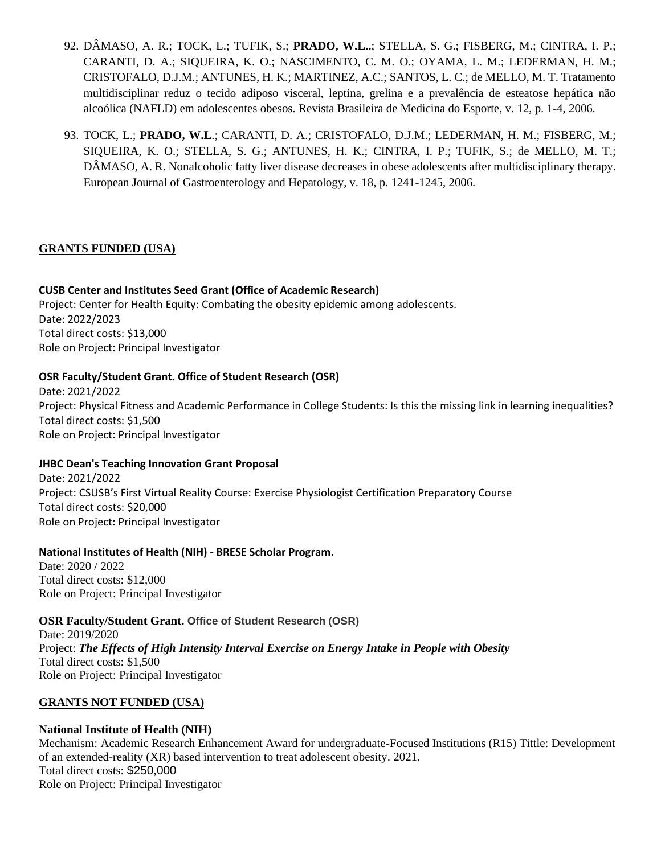- 92. DÂMASO, A. R.; TOCK, L.; TUFIK, S.; **PRADO, W.L..**; STELLA, S. G.; FISBERG, M.; CINTRA, I. P.; CARANTI, D. A.; SIQUEIRA, K. O.; NASCIMENTO, C. M. O.; OYAMA, L. M.; LEDERMAN, H. M.; CRISTOFALO, D.J.M.; ANTUNES, H. K.; MARTINEZ, A.C.; SANTOS, L. C.; de MELLO, M. T. Tratamento multidisciplinar reduz o tecido adiposo visceral, leptina, grelina e a prevalência de esteatose hepática não alcoólica (NAFLD) em adolescentes obesos. Revista Brasileira de Medicina do Esporte, v. 12, p. 1-4, 2006.
- 93. TOCK, L.; **PRADO, W.L**.; CARANTI, D. A.; CRISTOFALO, D.J.M.; LEDERMAN, H. M.; FISBERG, M.; SIQUEIRA, K. O.; STELLA, S. G.; ANTUNES, H. K.; CINTRA, I. P.; TUFIK, S.; de MELLO, M. T.; DÂMASO, A. R. Nonalcoholic fatty liver disease decreases in obese adolescents after multidisciplinary therapy. European Journal of Gastroenterology and Hepatology, v. 18, p. 1241-1245, 2006.

## **GRANTS FUNDED (USA)**

#### **CUSB Center and Institutes Seed Grant (Office of Academic Research)**

Project: Center for Health Equity: Combating the obesity epidemic among adolescents. Date: 2022/2023 Total direct costs: \$13,000 Role on Project: Principal Investigator

#### **OSR Faculty/Student Grant. Office of Student Research (OSR)**

Date: 2021/2022 Project: Physical Fitness and Academic Performance in College Students: Is this the missing link in learning inequalities? Total direct costs: \$1,500 Role on Project: Principal Investigator

#### **JHBC Dean's Teaching Innovation Grant Proposal**

Date: 2021/2022 Project: CSUSB's First Virtual Reality Course: Exercise Physiologist Certification Preparatory Course Total direct costs: \$20,000 Role on Project: Principal Investigator

#### **National Institutes of Health (NIH) - BRESE Scholar Program.**

Date: 2020 / 2022 Total direct costs: \$12,000 Role on Project: Principal Investigator

**OSR Faculty/Student Grant. Office of Student Research (OSR)** Date: 2019/2020 Project: *The Effects of High Intensity Interval Exercise on Energy Intake in People with Obesity* Total direct costs: \$1,500 Role on Project: Principal Investigator

### **GRANTS NOT FUNDED (USA)**

### **National Institute of Health (NIH)**

Mechanism: Academic Research Enhancement Award for undergraduate-Focused Institutions (R15) Tittle: Development of an extended-reality (XR) based intervention to treat adolescent obesity. 2021. Total direct costs: \$250,000 Role on Project: Principal Investigator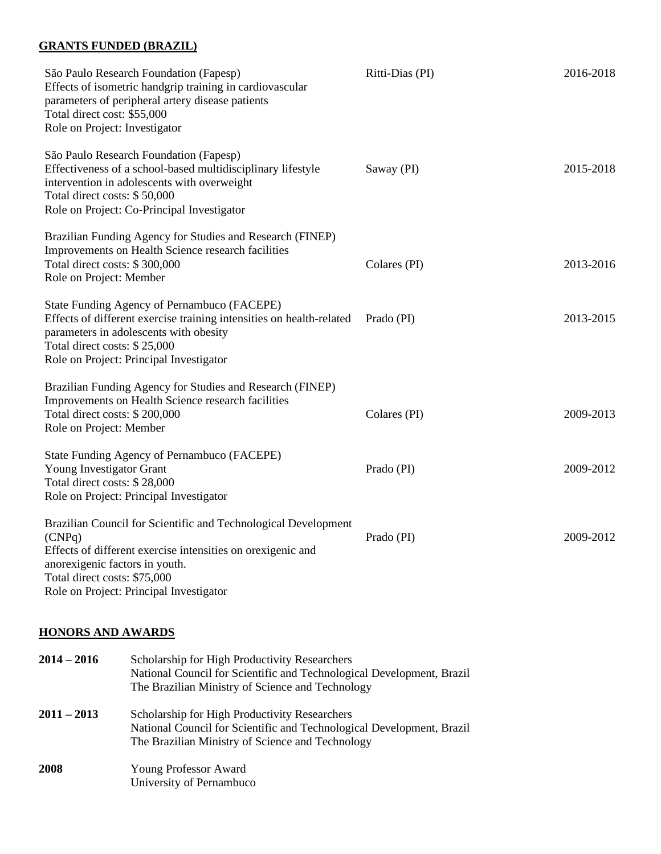#### **GRANTS FUNDED (BRAZIL)**

| São Paulo Research Foundation (Fapesp)<br>Effects of isometric handgrip training in cardiovascular<br>parameters of peripheral artery disease patients<br>Total direct cost: \$55,000<br>Role on Project: Investigator                                | Ritti-Dias (PI) | 2016-2018 |
|-------------------------------------------------------------------------------------------------------------------------------------------------------------------------------------------------------------------------------------------------------|-----------------|-----------|
| São Paulo Research Foundation (Fapesp)<br>Effectiveness of a school-based multidisciplinary lifestyle<br>intervention in adolescents with overweight<br>Total direct costs: \$50,000<br>Role on Project: Co-Principal Investigator                    | Saway (PI)      | 2015-2018 |
| Brazilian Funding Agency for Studies and Research (FINEP)<br>Improvements on Health Science research facilities<br>Total direct costs: \$300,000<br>Role on Project: Member                                                                           | Colares (PI)    | 2013-2016 |
| State Funding Agency of Pernambuco (FACEPE)<br>Effects of different exercise training intensities on health-related<br>parameters in adolescents with obesity<br>Total direct costs: \$25,000<br>Role on Project: Principal Investigator              | Prado (PI)      | 2013-2015 |
| Brazilian Funding Agency for Studies and Research (FINEP)<br>Improvements on Health Science research facilities<br>Total direct costs: \$200,000<br>Role on Project: Member                                                                           | Colares (PI)    | 2009-2013 |
| State Funding Agency of Pernambuco (FACEPE)<br>Young Investigator Grant<br>Total direct costs: \$28,000<br>Role on Project: Principal Investigator                                                                                                    | Prado (PI)      | 2009-2012 |
| Brazilian Council for Scientific and Technological Development<br>(CNPq)<br>Effects of different exercise intensities on or exigenic and<br>anorexigenic factors in youth.<br>Total direct costs: \$75,000<br>Role on Project: Principal Investigator | Prado (PI)      | 2009-2012 |

#### **HONORS AND AWARDS**

| $2014 - 2016$ | Scholarship for High Productivity Researchers<br>National Council for Scientific and Technological Development, Brazil<br>The Brazilian Ministry of Science and Technology |
|---------------|----------------------------------------------------------------------------------------------------------------------------------------------------------------------------|
| $2011 - 2013$ | Scholarship for High Productivity Researchers<br>National Council for Scientific and Technological Development, Brazil<br>The Brazilian Ministry of Science and Technology |
| 2008          | <b>Young Professor Award</b><br>University of Pernambuco                                                                                                                   |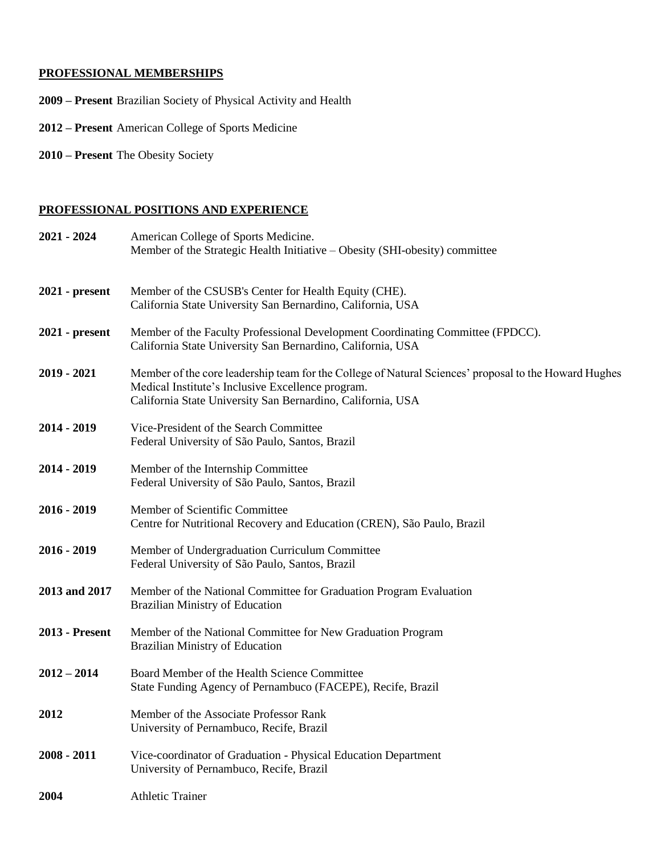# **PROFESSIONAL MEMBERSHIPS**

- **2009 – Present** Brazilian Society of Physical Activity and Health
- **2012 – Present** American College of Sports Medicine
- **2010 – Present** The Obesity Society

## **PROFESSIONAL POSITIONS AND EXPERIENCE**

| $2021 - 2024$  | American College of Sports Medicine.<br>Member of the Strategic Health Initiative – Obesity (SHI-obesity) committee                                                                                                       |
|----------------|---------------------------------------------------------------------------------------------------------------------------------------------------------------------------------------------------------------------------|
| 2021 - present | Member of the CSUSB's Center for Health Equity (CHE).<br>California State University San Bernardino, California, USA                                                                                                      |
| 2021 - present | Member of the Faculty Professional Development Coordinating Committee (FPDCC).<br>California State University San Bernardino, California, USA                                                                             |
| $2019 - 2021$  | Member of the core leadership team for the College of Natural Sciences' proposal to the Howard Hughes<br>Medical Institute's Inclusive Excellence program.<br>California State University San Bernardino, California, USA |
| 2014 - 2019    | Vice-President of the Search Committee<br>Federal University of São Paulo, Santos, Brazil                                                                                                                                 |
| 2014 - 2019    | Member of the Internship Committee<br>Federal University of São Paulo, Santos, Brazil                                                                                                                                     |
| $2016 - 2019$  | Member of Scientific Committee<br>Centre for Nutritional Recovery and Education (CREN), São Paulo, Brazil                                                                                                                 |
| $2016 - 2019$  | Member of Undergraduation Curriculum Committee<br>Federal University of São Paulo, Santos, Brazil                                                                                                                         |
| 2013 and 2017  | Member of the National Committee for Graduation Program Evaluation<br><b>Brazilian Ministry of Education</b>                                                                                                              |
| 2013 - Present | Member of the National Committee for New Graduation Program<br><b>Brazilian Ministry of Education</b>                                                                                                                     |
| $2012 - 2014$  | Board Member of the Health Science Committee<br>State Funding Agency of Pernambuco (FACEPE), Recife, Brazil                                                                                                               |
| 2012           | Member of the Associate Professor Rank<br>University of Pernambuco, Recife, Brazil                                                                                                                                        |
| $2008 - 2011$  | Vice-coordinator of Graduation - Physical Education Department<br>University of Pernambuco, Recife, Brazil                                                                                                                |
| 2004           | <b>Athletic Trainer</b>                                                                                                                                                                                                   |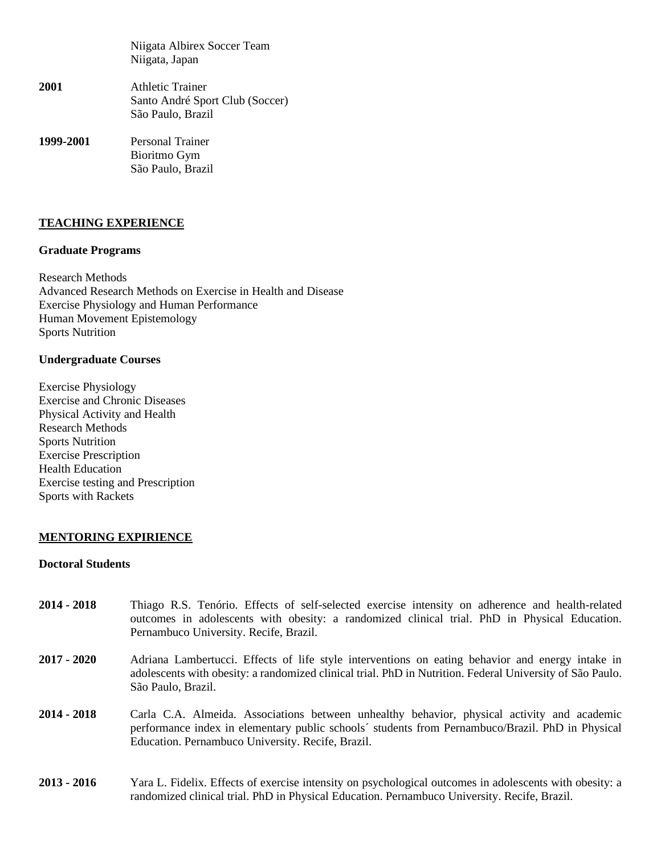Niigata Albirex Soccer Team Niigata, Japan

- **2001** Athletic Trainer Santo André Sport Club (Soccer) São Paulo, Brazil
- **1999-2001** Personal Trainer Bioritmo Gym São Paulo, Brazil

#### **TEACHING EXPERIENCE**

#### **Graduate Programs**

Research Methods Advanced Research Methods on Exercise in Health and Disease Exercise Physiology and Human Performance Human Movement Epistemology Sports Nutrition

#### **Undergraduate Courses**

Exercise Physiology Exercise and Chronic Diseases Physical Activity and Health Research Methods Sports Nutrition Exercise Prescription Health Education Exercise testing and Prescription Sports with Rackets

#### **MENTORING EXPIRIENCE**

#### **Doctoral Students**

- **2014 - 2018** Thiago R.S. Tenório. Effects of self-selected exercise intensity on adherence and health-related outcomes in adolescents with obesity: a randomized clinical trial. PhD in Physical Education. Pernambuco University. Recife, Brazil.
- **2017 - 2020** Adriana Lambertucci. Effects of life style interventions on eating behavior and energy intake in adolescents with obesity: a randomized clinical trial. PhD in Nutrition. Federal University of São Paulo. São Paulo, Brazil.
- **2014 - 2018** Carla C.A. Almeida. Associations between unhealthy behavior, physical activity and academic performance index in elementary public schools´ students from Pernambuco/Brazil. PhD in Physical Education. Pernambuco University. Recife, Brazil.
- **2013 - 2016** Yara L. Fidelix. Effects of exercise intensity on psychological outcomes in adolescents with obesity: a randomized clinical trial. PhD in Physical Education. Pernambuco University. Recife, Brazil.